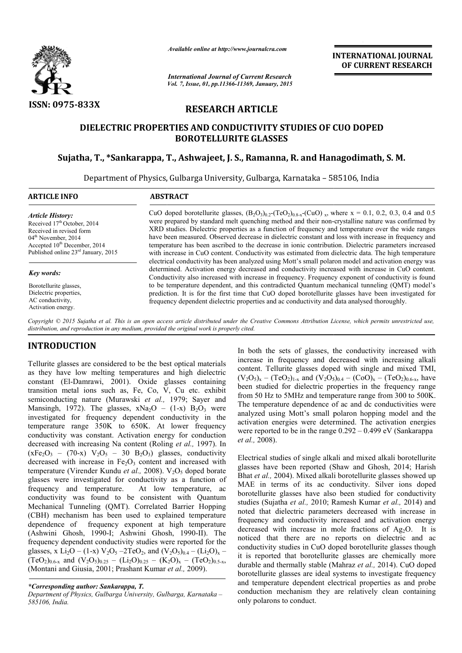

*Available online at http://www.journalcra.com*

*International Journal of Current Research Vol. 7, Issue, 01, pp.11366-11369, January, 2015* **INTERNATIONAL INTERNATIONAL JOURNAL OF CURRENT RESEARCH** 

# **RESEARCH ARTICLE**

# **DIELECTRIC PROPERTIES AND CONDUCTIVITY STUDIES OF CUO DOPED BOROTELLURITE GLASSES**

## **Sujatha, T., \*Sankarappa, T. T., Ashwajeet, J. S., Ramanna, R. and Hanagodimath Hanagodimath, S. M.**

Department of Physics, Gulbarga University, Gulbarga, Karnataka - 585106, India 1

#### **ARTICLE INFO ABSTRACT**

*Article History:* Received 17<sup>th</sup> October, 2014 Received in revised form  $04<sup>th</sup>$  November, 2014 Accepted 10<sup>th</sup> December, 2014 Published online 23rd January, 2015

#### *Key words:*

Borotellurite glasses, Dielectric properties, AC conductivity, Activation energy.

CuO doped borotellurite glasses,  $(B_2O_3)_{0.2}$ -(TeO<sub>2</sub>)<sub>0.8-x</sub>-(CuO)<sub>x</sub>, where x = 0.1, 0.2, 0.3, 0.4 and 0.5 were prepared by standard melt quenching method and their non-crystalline nature was confirmed by XRD studies. Dielectric properties as a function of frequency and temperature over the wide ranges have been measured. Observed decrease in dielectric constant and loss with increase in frequency and temperature has been ascribed to the decrease in ionic contribution. Dielectric parameters increased with increase in CuO content. Conductivity was estimated from dielectric data. The high temperature electrical conductivity has been analyzed using Mott's small polaron model and activation energy was determined. Activation energy decreased and conductivity increased with increase in CuO content. Conductivity also increased with increase in frequency. Frequency exponent of conductivity is found to be temperature dependent, and this contradicted Quantum mechanical tunneling (QMT) model's prediction. It is for the first time that CuO doped borotellurite glasses have been investigated for frequency dependent dielectric properties and ac conductivity and data analysed thoroughly. S. Dielectric properties as a function of frequency and temperature over the wide ranges easured. Observed decrease in dielectric constant and loss with increase in frequency and has been ascribed to the decrease in ionic ctrical conductivity has been analyzed using Mott's small polaron model and activation eiermined. Activation energy decreased and conductivity increased with increase in CuC nductivity also increased with increase in frequ

Copyright © 2015 Sujatha et al. This is an open access article distributed under the Creative Commons Attribution License, which permits unrestricted use, *distribution, and reproduction in any medium, provided the original work is properly cited.*

## **INTRODUCTION**

Tellurite glasses are considered to be the best optical materials as they have low melting temperatures and high dielectric constant (El-Damrawi, 2001). Oxide glasses containing transition metal ions such as, Fe, Co, V, Cu etc. exhibit constant (El-Damrawi, 2001). Oxide glasses containing<br>transition metal ions such as, Fe, Co, V, Cu etc. exhibit<br>semiconducting nature (Murawski *et al.*, 1979; Sayer and Mansingh, 1972). The glasses,  $xNa<sub>2</sub>O - (1-x) B<sub>2</sub>O<sub>3</sub>$  were investigated for frequency dependent conductivity in the temperature range 350K to 650K. At lower frequency conductivity was constant. Activation energy for conduction decreased with increasing Na content (Roling et al., 1997). In  $(xFe<sub>2</sub>O<sub>3</sub> - (70-x) V<sub>2</sub>O<sub>5</sub> - 30 B<sub>2</sub>O<sub>3</sub>)$  glasses, conductivity decreased with increase in  $Fe<sub>2</sub>O<sub>3</sub>$  content and increased with temperature (Virender Kundu *et al.*, 2008). V<sub>2</sub>O<sub>5</sub> doped borate glasses were investigated for conductivity as a function of frequency and temperature. At low temperature, ac conductivity was found to be consistent with Quantum Mechanical Tunneling (QMT). Correlated Barrier Hopping (CBH) mechanism has been used to explained temperature dependence of frequency exponent at high temperature (CBH) mechanism has been used to explained temperature<br>dependence of frequency exponent at high temperature<br>(Ashwini Ghosh, 1990-I; Ashwini Ghosh, 1990-II). The frequency dependent conductivity studies were reported for the glasses, x Li<sub>2</sub>O – (1-x)  $V_2O_5 - 2TeO_2$ , and  $(V_2O_5)_{0.4} - (Li_2O)_x$  –  $(TeO_2)_{0.6-x}$  and  $(V_2O_5)_{0.25} - (Li_2O)_{0.25} - (K_2O)_x - (TeO_2)_{0.5-x}$ , (Montani and Giusia, 2001; Prashant Kumar Montani *et al.,* 2009).

### *\*Corresponding author: Sankarappa, T.*

*Department of Physics, Gulbarga University, Gulbarga, Karnataka – 585106, India.*

In both the sets of glasses, the conductivity increased with increase in frequency and decreased with increasing alkali content. Tellurite glasses doped with single and mixed TMI,  $(V_2O_5)_x - (TeO_2)_{1-x}$  and  $(V_2O_5)_{0.4} - (CoO)_x - (TeO_2)_{0.6-x}$ , have been studied for dielectric properties in the frequency range from 50 Hz to 5MHz and temperature range from 300 to 500K. The temperature dependence of ac and dc conductivities were analyzed using Mott's small polaron hopping model and the activation energies were determined. The activation energies were reported to be in the range  $0.292 - 0.499$  eV (Sankarappa *et al.,* 2008). In both the sets of glasses, the conductivity increased with increasing alkali content. Tellurite glasses doped with single and mixed TMI,  $(V_2O_5)_x - (TeO_2)_{1-x}$  and  $(V_2O_5)_{0.4} - (CoO)_x - (TeO_2)_{0.6-x}$ , have studied for dielectric properties in the frequency range 50 Hz to 5MHz and temperature range from 300 to 500K.<br>temperature dependence of ac and dc conductivities were axed using Mott's small polaron hopping model and the a

Electrical studies of single alkali and mixed alkali borotellurite glasses have been reported (Shaw and Ghosh, 2014; Harish Bhat *et al.,* 2004). Mixed alkali borotellurite glasses showed up MAE in terms of its ac conductivity. Silver ions doped borotellurite glasses have also been studied for conductivity studies (Sujatha *et al.,* 2010; Ramesh Kumar *et al.,* 2014) and noted that dielectric parameters decreased with increase in frequency and conductivity increased and activation energy decreased with increase in mole fractions of  $Ag_2O$ . It is noticed that there are no reports on dielectric and ac noticed that there are no reports on dielectric and ac<br>conductivity studies in CuO doped borotellurite glasses though it is reported that borotellurite glasses are chemically more it is reported that borotellurite glasses are chemically more durable and thermally stable (Mahraz *et al.*, 2014). CuO doped borotellurite glasses are ideal systems to investigate frequency borotellurite glasses are ideal systems to investigate frequency<br>and temperature dependent electrical properties as and probe conduction mechanism they are relatively clean containing only polarons to conduct. cal studies of single alkali and mixed alkali borotellur<br>have been reported (Shaw and Ghosh, 2014; Har<br>*al.*, 2004). Mixed alkali borotellurite glasses showed<br>in terms of its ac conductivity. Silver ions dop<br>lurite glasses **NAL JOURNAL**<br> **NAL JOURNAL**<br> **NAL JOURNAL**<br> **NAL JOURNAL**<br> **NAL JOURNAL**<br> **NAL RESEARCH**<br> **NAL RESEARCH**<br> **NAL RESEARCH**<br> **NAL RESEARCH**<br> **NAL RESEARCH**<br> **NAL RESEARCH**<br> **NAL RESEARCH**<br> **NAL RESEARCH**<br> **NAL RESEARCH**<br> **N**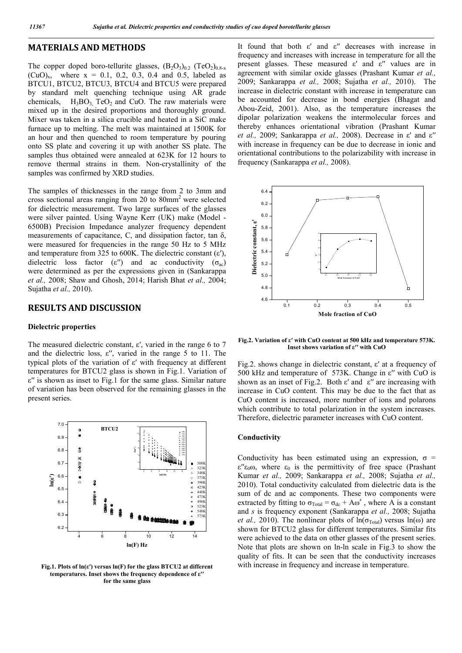## **MATERIALS AND METHODS**

The copper doped boro-tellurite glasses,  $(B_2O_3)_{0.2}$  (TeO<sub>2</sub>)<sub>0.8-x</sub>  $(CuO)<sub>x</sub>$ , where  $x = 0.1, 0.2, 0.3, 0.4$  and 0.5, labeled as BTCU1, BTCU2, BTCU3, BTCU4 and BTCU5 were prepared by standard melt quenching technique using AR grade chemicals,  $H_3BO_3$  TeO<sub>2</sub> and CuO. The raw materials were mixed up in the desired proportions and thoroughly ground. Mixer was taken in a silica crucible and heated in a SiC make furnace up to melting. The melt was maintained at 1500K for an hour and then quenched to room temperature by pouring onto SS plate and covering it up with another SS plate. The samples thus obtained were annealed at 623K for 12 hours to remove thermal strains in them. Non-crystallinity of the samples was confirmed by XRD studies.

The samples of thicknesses in the range from 2 to 3mm and cross sectional areas ranging from 20 to 80mm2 were selected for dielectric measurement. Two large surfaces of the glasses were silver painted. Using Wayne Kerr (UK) make (Model - 6500B) Precision Impedance analyzer frequency dependent measurements of capacitance, C, and dissipation factor, tan δ, were measured for frequencies in the range 50 Hz to 5 MHz and temperature from 325 to 600K. The dielectric constant  $(\varepsilon')$ , dielectric loss factor (ε'') and ac conductivity ( $\sigma_{ac}$ ) were determined as per the expressions given in (Sankarappa *et al.,* 2008; Shaw and Ghosh, 2014; Harish Bhat *et al.,* 2004; Sujatha *et al.,* 2010).

## **RESULTS AND DISCUSSION**

#### **Dielectric properties**

The measured dielectric constant,  $\varepsilon'$ , varied in the range 6 to 7 and the dielectric loss,  $\varepsilon$ ", varied in the range 5 to 11. The typical plots of the variation of ε′ with frequency at different temperatures for BTCU2 glass is shown in Fig.1. Variation of ε′′ is shown as inset to Fig.1 for the same glass. Similar nature of variation has been observed for the remaining glasses in the present series.



**Fig.1. Plots of ln(ε′) versus ln(F) for the glass BTCU2 at different temperatures. Inset shows the frequency dependence of ε′′ for the same glass**

It found that both ε′ and ε′′ decreases with increase in frequency and increases with increase in temperature for all the present glasses. These measured  $\varepsilon'$  and  $\varepsilon''$  values are in agreement with similar oxide glasses (Prashant Kumar *et al.,* 2009; Sankarappa *et al.,* 2008; Sujatha *et al.,* 2010). The increase in dielectric constant with increase in temperature can be accounted for decrease in bond energies (Bhagat and Abou-Zeid, 2001). Also, as the temperature increases the dipolar polarization weakens the intermolecular forces and thereby enhances orientational vibration (Prashant Kumar *et al.,* 2009; Sankarappa *et al.,* 2008). Decrease in ε′ and ε′′ with increase in frequency can be due to decrease in ionic and orientational contributions to the polarizability with increase in frequency (Sankarappa *et al.,* 2008).



**Fig.2. Variation of ε′ with CuO content at 500 kHz and temperature 573K. Inset shows variation of ε′′ with CuO**

Fig.2. shows change in dielectric constant, ε′ at a frequency of 500 kHz and temperature of 573K. Change in ε′′ with CuO is shown as an inset of Fig.2. Both  $\varepsilon'$  and  $\varepsilon''$  are increasing with increase in CuO content. This may be due to the fact that as CuO content is increased, more number of ions and polarons which contribute to total polarization in the system increases. Therefore, dielectric parameter increases with CuO content.

#### **Conductivity**

Conductivity has been estimated using an expression,  $\sigma$  =  $ε''ε<sub>0</sub>ω$ , where  $ε<sub>0</sub>$  is the permittivity of free space (Prashant Kumar *et al.,* 2009; Sankarappa *et al.,* 2008; Sujatha *et al.,* 2010). Total conductivity calculated from dielectric data is the sum of dc and ac components. These two components were extracted by fitting to  $\sigma_{\text{Total}} = \sigma_{\text{dc}} + A\omega^s$ , where A is a constant and *s* is frequency exponent (Sankarappa *et al.,* 2008; Sujatha *et al.*, 2010). The nonlinear plots of  $ln(\sigma_{Total})$  versus  $ln(\omega)$  are shown for BTCU2 glass for different temperatures. Similar fits were achieved to the data on other glasses of the present series. Note that plots are shown on ln-ln scale in Fig.3 to show the quality of fits. It can be seen that the conductivity increases with increase in frequency and increase in temperature.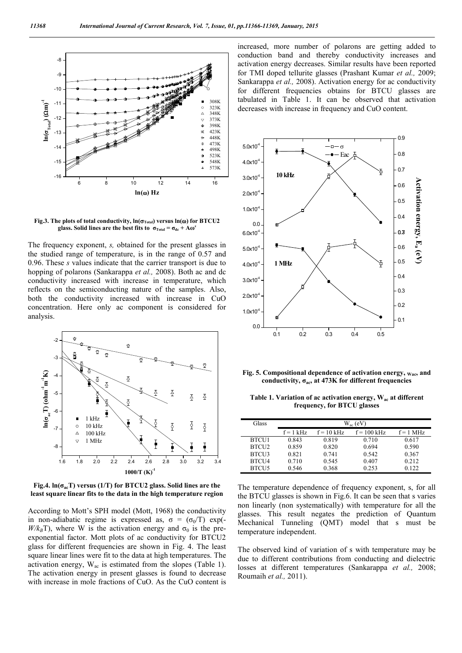

**Fig.3.** The plots of total conductivity,  $\ln(\sigma_{\text{Total}})$  versus  $\ln(\omega)$  for BTCU2 glass. Solid lines are the best fits to  $\sigma_{\text{Total}} = \sigma_{\text{dc}} + A\omega^s$ 

The frequency exponent, *s,* obtained for the present glasses in the studied range of temperature, is in the range of 0.57 and 0.96. These *s* values indicate that the carrier transport is due to hopping of polarons (Sankarappa *et al.,* 2008). Both ac and dc conductivity increased with increase in temperature, which reflects on the semiconducting nature of the samples. Also, both the conductivity increased with increase in CuO concentration. Here only ac component is considered for analysis.



Fig.4.  $ln(\sigma_{\alpha}T)$  versus (1/T) for BTCU2 glass. Solid lines are the **least square linear fits to the data in the high temperature region**

According to Mott's SPH model (Mott, 1968) the conductivity in non-adiabatic regime is expressed as,  $\sigma = (\sigma_0/T)$  exp(- $W/k_BT$ , where W is the activation energy and  $\sigma_0$  is the preexponential factor. Mott plots of ac conductivity for BTCU2 glass for different frequencies are shown in Fig. 4. The least square linear lines were fit to the data at high temperatures. The activation energy,  $W_{ac}$  is estimated from the slopes (Table 1). The activation energy in present glasses is found to decrease with increase in mole fractions of CuO. As the CuO content is increased, more number of polarons are getting added to conduction band and thereby conductivity increases and activation energy decreases. Similar results have been reported for TMI doped tellurite glasses (Prashant Kumar *et al.,* 2009; Sankarappa *et al.,* 2008). Activation energy for ac conductivity for different frequencies obtains for BTCU glasses are tabulated in Table 1. It can be observed that activation decreases with increase in frequency and CuO content.



**Fig. 5. Compositional dependence of activation energy, Wac, and conductivity, σac, at 473K for different frequencies**

**Table 1. Variation of ac activation energy, Wac at different frequency, for BTCU glasses**

| Glass             | $W_{ac}$ (eV) |              |               |             |
|-------------------|---------------|--------------|---------------|-------------|
|                   | $f = 1$ kHz   | $f = 10$ kHz | $f = 100$ kHz | $f = 1$ MHz |
| <b>BTCU1</b>      | 0.843         | 0.819        | 0.710         | 0.617       |
| BTCU <sub>2</sub> | 0.859         | 0.820        | 0.694         | 0.590       |
| BTCU3             | 0.821         | 0.741        | 0.542         | 0.367       |
| BTCU <sub>4</sub> | 0.710         | 0.545        | 0.407         | 0.212       |
| BTCU5             | 0.546         | 0.368        | 0.253         | 0.122       |

The temperature dependence of frequency exponent, s, for all the BTCU glasses is shown in Fig.6. It can be seen that s varies non linearly (non systematically) with temperature for all the glasses. This result negates the prediction of Quantum Mechanical Tunneling (QMT) model that s must be temperature independent.

The observed kind of variation of s with temperature may be due to different contributions from conducting and dielectric losses at different temperatures (Sankarappa *et al.,* 2008; Roumaih *et al.,* 2011).